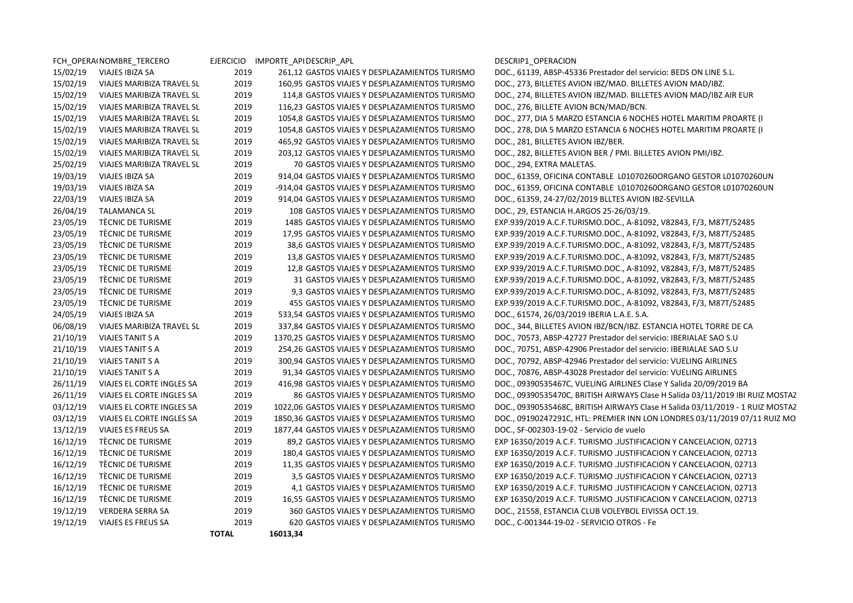|          | FCH OPERAINOMBRE TERCERO  |              | EJERCICIO IMPORTE_APIDESCRIP_APL                | DESCRIP1 OPERACION                                                            |
|----------|---------------------------|--------------|-------------------------------------------------|-------------------------------------------------------------------------------|
| 15/02/19 | VIAJES IBIZA SA           | 2019         | 261,12 GASTOS VIAJES Y DESPLAZAMIENTOS TURISMO  | DOC., 61139, ABSP-45336 Prestador del servicio: BEDS ON LINE S.L.             |
| 15/02/19 | VIAJES MARIBIZA TRAVEL SL | 2019         | 160,95 GASTOS VIAJES Y DESPLAZAMIENTOS TURISMO  | DOC., 273, BILLETES AVION IBZ/MAD. BILLETES AVION MAD/IBZ.                    |
| 15/02/19 | VIAJES MARIBIZA TRAVEL SL | 2019         | 114,8 GASTOS VIAJES Y DESPLAZAMIENTOS TURISMO   | DOC., 274, BILLETES AVION IBZ/MAD. BILLETES AVION MAD/IBZ AIR EUR             |
| 15/02/19 | VIAJES MARIBIZA TRAVEL SL | 2019         | 116,23 GASTOS VIAJES Y DESPLAZAMIENTOS TURISMO  | DOC., 276, BILLETE AVION BCN/MAD/BCN.                                         |
| 15/02/19 | VIAJES MARIBIZA TRAVEL SL | 2019         | 1054,8 GASTOS VIAJES Y DESPLAZAMIENTOS TURISMO  | DOC., 277, DIA 5 MARZO ESTANCIA 6 NOCHES HOTEL MARITIM PROARTE (I             |
| 15/02/19 | VIAJES MARIBIZA TRAVEL SL | 2019         | 1054,8 GASTOS VIAJES Y DESPLAZAMIENTOS TURISMO  | DOC., 278, DIA 5 MARZO ESTANCIA 6 NOCHES HOTEL MARITIM PROARTE (I             |
| 15/02/19 | VIAJES MARIBIZA TRAVEL SL | 2019         | 465,92 GASTOS VIAJES Y DESPLAZAMIENTOS TURISMO  | DOC., 281, BILLETES AVION IBZ/BER.                                            |
| 15/02/19 | VIAJES MARIBIZA TRAVEL SL | 2019         | 203,12 GASTOS VIAJES Y DESPLAZAMIENTOS TURISMO  | DOC., 282, BILLETES AVION BER / PMI. BILLETES AVION PMI/IBZ.                  |
| 25/02/19 | VIAJES MARIBIZA TRAVEL SL | 2019         | 70 GASTOS VIAJES Y DESPLAZAMIENTOS TURISMO      | DOC., 294, EXTRA MALETAS.                                                     |
| 19/03/19 | VIAJES IBIZA SA           | 2019         | 914,04 GASTOS VIAJES Y DESPLAZAMIENTOS TURISMO  | DOC., 61359, OFICINA CONTABLE L01070260ORGANO GESTOR L01070260UN              |
| 19/03/19 | VIAJES IBIZA SA           | 2019         | -914,04 GASTOS VIAJES Y DESPLAZAMIENTOS TURISMO | DOC., 61359, OFICINA CONTABLE L01070260ORGANO GESTOR L01070260UN              |
| 22/03/19 | VIAJES IBIZA SA           | 2019         | 914,04 GASTOS VIAJES Y DESPLAZAMIENTOS TURISMO  | DOC., 61359, 24-27/02/2019 BLLTES AVION IBZ-SEVILLA                           |
| 26/04/19 | <b>TALAMANCA SL</b>       | 2019         | 108 GASTOS VIAJES Y DESPLAZAMIENTOS TURISMO     | DOC., 29, ESTANCIA H.ARGOS 25-26/03/19.                                       |
| 23/05/19 | TÈCNIC DE TURISME         | 2019         | 1485 GASTOS VIAJES Y DESPLAZAMIENTOS TURISMO    | EXP.939/2019 A.C.F.TURISMO.DOC., A-81092, V82843, F/3, M87T/52485             |
| 23/05/19 | TÈCNIC DE TURISME         | 2019         | 17,95 GASTOS VIAJES Y DESPLAZAMIENTOS TURISMO   | EXP.939/2019 A.C.F.TURISMO.DOC., A-81092, V82843, F/3, M87T/52485             |
| 23/05/19 | TÈCNIC DE TURISME         | 2019         | 38,6 GASTOS VIAJES Y DESPLAZAMIENTOS TURISMO    | EXP.939/2019 A.C.F.TURISMO.DOC., A-81092, V82843, F/3, M87T/52485             |
| 23/05/19 | TÈCNIC DE TURISME         | 2019         | 13,8 GASTOS VIAJES Y DESPLAZAMIENTOS TURISMO    | EXP.939/2019 A.C.F.TURISMO.DOC., A-81092, V82843, F/3, M87T/52485             |
| 23/05/19 | TÈCNIC DE TURISME         | 2019         | 12,8 GASTOS VIAJES Y DESPLAZAMIENTOS TURISMO    | EXP.939/2019 A.C.F.TURISMO.DOC., A-81092, V82843, F/3, M87T/52485             |
| 23/05/19 | TÈCNIC DE TURISME         | 2019         | 31 GASTOS VIAJES Y DESPLAZAMIENTOS TURISMO      | EXP.939/2019 A.C.F.TURISMO.DOC., A-81092, V82843, F/3, M87T/52485             |
| 23/05/19 | TÈCNIC DE TURISME         | 2019         | 9.3 GASTOS VIAJES Y DESPLAZAMIENTOS TURISMO     | EXP.939/2019 A.C.F.TURISMO.DOC., A-81092, V82843, F/3, M87T/52485             |
| 23/05/19 | TÈCNIC DE TURISME         | 2019         | 455 GASTOS VIAJES Y DESPLAZAMIENTOS TURISMO     | EXP.939/2019 A.C.F.TURISMO.DOC., A-81092, V82843, F/3, M87T/52485             |
| 24/05/19 | VIAJES IBIZA SA           | 2019         | 533,54 GASTOS VIAJES Y DESPLAZAMIENTOS TURISMO  | DOC., 61574, 26/03/2019 IBERIA L.A.E. S.A.                                    |
| 06/08/19 | VIAJES MARIBIZA TRAVEL SL | 2019         | 337,84 GASTOS VIAJES Y DESPLAZAMIENTOS TURISMO  | DOC., 344, BILLETES AVION IBZ/BCN/IBZ. ESTANCIA HOTEL TORRE DE CA             |
| 21/10/19 | VIAJES TANIT S A          | 2019         | 1370,25 GASTOS VIAJES Y DESPLAZAMIENTOS TURISMO | DOC., 70573, ABSP-42727 Prestador del servicio: IBERIALAE SAO S.U             |
| 21/10/19 | <b>VIAJES TANIT S A</b>   | 2019         | 254,26 GASTOS VIAJES Y DESPLAZAMIENTOS TURISMO  | DOC., 70751, ABSP-42906 Prestador del servicio: IBERIALAE SAO S.U             |
| 21/10/19 | <b>VIAJES TANIT S A</b>   | 2019         | 300,94 GASTOS VIAJES Y DESPLAZAMIENTOS TURISMO  | DOC., 70792, ABSP-42946 Prestador del servicio: VUELING AIRLINES              |
| 21/10/19 | VIAJES TANIT S A          | 2019         | 91,34 GASTOS VIAJES Y DESPLAZAMIENTOS TURISMO   | DOC., 70876, ABSP-43028 Prestador del servicio: VUELING AIRLINES              |
| 26/11/19 | VIAJES EL CORTE INGLES SA | 2019         | 416,98 GASTOS VIAJES Y DESPLAZAMIENTOS TURISMO  | DOC., 09390535467C, VUELING AIRLINES Clase Y Salida 20/09/2019 BA             |
| 26/11/19 | VIAJES EL CORTE INGLES SA | 2019         | 86 GASTOS VIAJES Y DESPLAZAMIENTOS TURISMO      | DOC., 09390535470C, BRITISH AIRWAYS Clase H Salida 03/11/2019 IBI RUIZ MOSTAZ |
| 03/12/19 | VIAJES EL CORTE INGLES SA | 2019         | 1022,06 GASTOS VIAJES Y DESPLAZAMIENTOS TURISMO | DOC., 09390535468C, BRITISH AIRWAYS Clase H Salida 03/11/2019 - 1 RUIZ MOSTAZ |
| 03/12/19 | VIAJES EL CORTE INGLES SA | 2019         | 1850,36 GASTOS VIAJES Y DESPLAZAMIENTOS TURISMO | DOC., 09190247291C, HTL: PREMIER INN LON LONDRES 03/11/2019 07/11 RUIZ MO     |
| 13/12/19 | VIAJES ES FREUS SA        | 2019         | 1877,44 GASTOS VIAJES Y DESPLAZAMIENTOS TURISMO | DOC., SF-002303-19-02 - Servicio de vuelo                                     |
| 16/12/19 | TÈCNIC DE TURISME         | 2019         | 89,2 GASTOS VIAJES Y DESPLAZAMIENTOS TURISMO    | EXP 16350/2019 A.C.F. TURISMO .JUSTIFICACION Y CANCELACION, 02713             |
| 16/12/19 | TÈCNIC DE TURISME         | 2019         | 180,4 GASTOS VIAJES Y DESPLAZAMIENTOS TURISMO   | EXP 16350/2019 A.C.F. TURISMO .JUSTIFICACION Y CANCELACION, 02713             |
| 16/12/19 | TÈCNIC DE TURISME         | 2019         | 11,35 GASTOS VIAJES Y DESPLAZAMIENTOS TURISMO   | EXP 16350/2019 A.C.F. TURISMO .JUSTIFICACION Y CANCELACION, 02713             |
| 16/12/19 | TÈCNIC DE TURISME         | 2019         | 3,5 GASTOS VIAJES Y DESPLAZAMIENTOS TURISMO     | EXP 16350/2019 A.C.F. TURISMO .JUSTIFICACION Y CANCELACION, 02713             |
| 16/12/19 | TÈCNIC DE TURISME         | 2019         | 4,1 GASTOS VIAJES Y DESPLAZAMIENTOS TURISMO     | EXP 16350/2019 A.C.F. TURISMO .JUSTIFICACION Y CANCELACION, 02713             |
| 16/12/19 | TÈCNIC DE TURISME         | 2019         | 16,55 GASTOS VIAJES Y DESPLAZAMIENTOS TURISMO   | EXP 16350/2019 A.C.F. TURISMO .JUSTIFICACION Y CANCELACION, 02713             |
| 19/12/19 | VERDERA SERRA SA          | 2019         | 360 GASTOS VIAJES Y DESPLAZAMIENTOS TURISMO     | DOC., 21558, ESTANCIA CLUB VOLEYBOL EIVISSA OCT.19.                           |
| 19/12/19 | VIAJES ES FREUS SA        | 2019         | 620 GASTOS VIAJES Y DESPLAZAMIENTOS TURISMO     | DOC., C-001344-19-02 - SERVICIO OTROS - Fe                                    |
|          |                           | <b>TOTAL</b> | 16013,34                                        |                                                                               |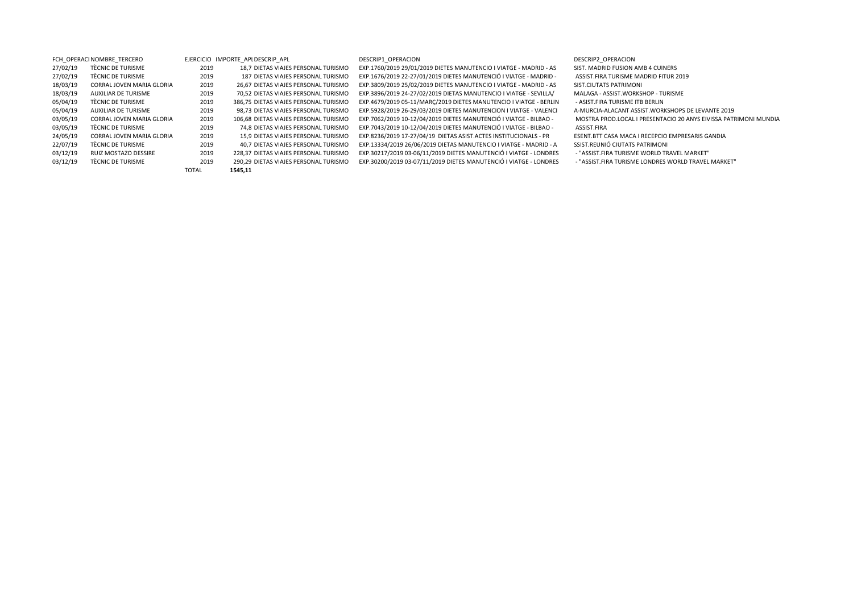TOTAL**1545,11**

FCH\_OPERACI NOMBRE\_TERCERO FOR ELERCICIO IMPORTE\_APLDESCRIP\_APL DESCRIP1\_OPERACION DESCRIP1\_OPERACION DESCRIP1\_OPERACION 03/12/19 TÈCNIC DE TURISME 2019 290,29 DIETAS VIAJES PERSONAL TURISMO EXP.30200/2019 03-07/11/2019 DIETES MANUTENCIÓ I VIATGE - LONDRES - "ASSIST.FIRA TURISME LONDRES WORLD TRAVEL MARKET"

27/02/19 TÈCNIC DE TURISME 2019 18,7 DIETAS VIAJES PERSONAL TURISMO EXP.1760/2019 29/01/2019 DIETES MANUTENCIO I VIATGE - MADRID - AS SIST. MADRID FUSION AMB 4 CUINERS 27/02/19 TÈCNIC DE TURISME 2019 2019 187 DIETAS VIAJES PERSONAL TURISMO EXP.1676/2019 22-27/01/2019 DIETES MANUTENCIÓ I VIATGE - MADRID - ASSIST.FIRA TURISME MADRID FITUR 2019 18/03/19 CORRAL JOVEN MARIA GLORIA 2019 26,67 DIETAS VIAJES PERSONAL TURISMO EXP.3809/2019 25/02/2019 DIETES MANUTENCIO I VIATGE ‐ MADRID ‐ AS SIST.CIUTATS PATRIMONI 18/03/19 AUXILIAR DE TURISME 2019 70,52 DIETAS VIAJES PERSONAL TURISMO EXP.3896/2019 24‐27/02/2019 DIETAS MANUTENCIO I VIATGE ‐ SEVILLA/ MALAGA ‐ ASSIST.WORKSHOP ‐ TURISME 05/04/19 TÈCNIC DE TURISME 2019 386,75 DIETAS VIAJES PERSONAL TURISMO EXP.4679/2019 05-11/MARC/2019 DIETES MANUTENCIO I VIATGE - BERLIN - ASIST.FIRA TURISME ITB BERLIN 05/04/19 AUXILIAR DE TURISME 2019 98,73 DIETAS VIAJES PERSONAL TURISMO EXP.5928/2019 26-29/03/2019 DIETES MANUTENCION I VIATGE - VALENCI A-MURCIA-ALACANT ASSIST.WORKSHOPS DE LEVANTE 2019 03/05/19 CORRAL JOVEN MARIA GLORIA 2019 106,68 DIETAS VIAJES PERSONAL TURISMO EXP.7062/2019 10-12/04/2019 DIETES MANUTENCIÓ I VIATGE - BILBAO - MOSTRA PROD.LOCAL I PRESENTACIO 20 ANYS EIVISSA PATRIMONI MUNDIA 03/05/19 TÈCNIC DE TURISME <sup>2019</sup> 74,8 DIETAS VIAJES PERSONAL TURISMO EXP.7043/2019 <sup>10</sup>‐12/04/2019 DIETES MANUTENCIÓ <sup>I</sup> VIATGE ‐ BILBAO ‐ ASSIST.FIRA 24/05/19 CORRAL JOVEN MARIA GLORIA 2019 15,9 DIETAS VIAJES PERSONAL TURISMO EXP.8236/2019 17‐27/04/19 DIETAS ASIST.ACTES INSTITUCIONALS ‐ PR ESENT.BTT CASA MACA I RECEPCIO EMPRESARIS GANDIA 22/07/19 TÈCNIC DE TURISME <sup>2019</sup> 40,7 DIETAS VIAJES PERSONAL TURISMO EXP.13334/2019 26/06/2019 DIETAS MANUTENCIO <sup>I</sup> VIATGE ‐ MADRID ‐ <sup>A</sup> SSIST.REUNIÓ CIUTATS PATRIMONI 03/12/19 RUIZ MOSTAZO DESSIRE 2019 228,37 DIETAS VIAJES PERSONAL TURISMO EXP.30217/2019 03-06/11/2019 DIETES MANUTENCIÓ I VIATGE - LONDRES - "ASSIST.FIRA TURISME WORLD TRAVEL MARKET"